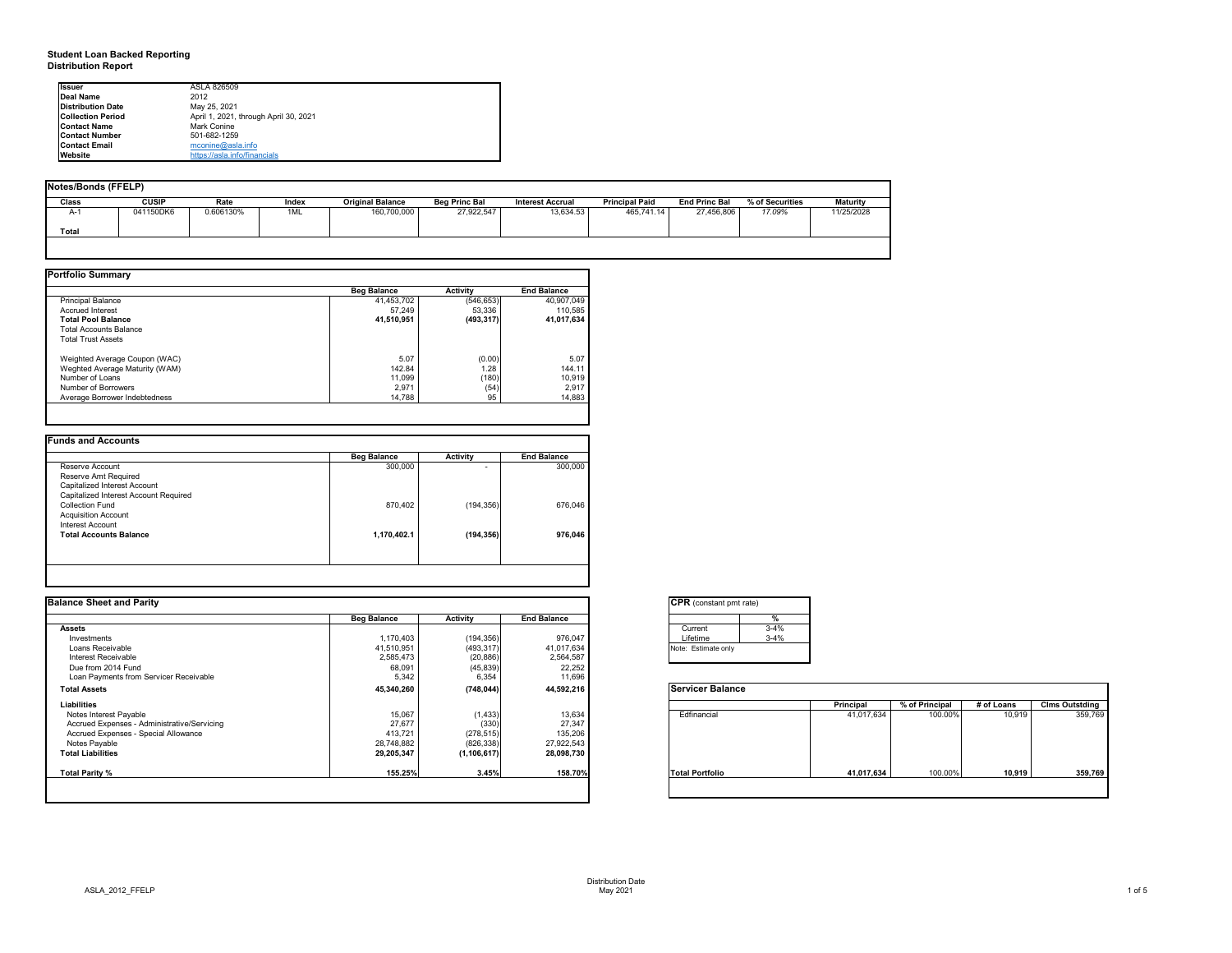# **Student Loan Backed Reporting Distribution Report**

## **Notes/Bonds (FFELP)**

| Notes/Bonds (FFELP) |              |           |       |                         |                      |                         |                       |                      |                 |                 |
|---------------------|--------------|-----------|-------|-------------------------|----------------------|-------------------------|-----------------------|----------------------|-----------------|-----------------|
| <b>Class</b>        | <b>CUSIP</b> | Rate      | Index | <b>Original Balance</b> | <b>Beg Princ Bal</b> | <b>Interest Accrual</b> | <b>Principal Paid</b> | <b>End Princ Bal</b> | % of Securities | <b>Maturity</b> |
| $A-1$               | 041150DK6    | 0.606130% | 1ML   | 160,700,000             | 27,922,547           | 13,634.53               | 465,741.14            | 27,456,806           | 17.09%          | 11/25/2028      |
| <b>Total</b>        |              |           |       |                         |                      |                         |                       |                      |                 |                 |
|                     |              |           |       |                         |                      |                         |                       |                      |                 |                 |

|                                | <b>Beg Balance</b> | <b>Activity</b> | <b>End Balance</b> |
|--------------------------------|--------------------|-----------------|--------------------|
| <b>Principal Balance</b>       | 41,453,702         | (546, 653)      | 40,907,049         |
| <b>Accrued Interest</b>        | 57,249             | 53,336          | 110,585            |
| <b>Total Pool Balance</b>      | 41,510,951         | (493, 317)      | 41,017,634         |
| <b>Total Accounts Balance</b>  |                    |                 |                    |
| <b>Total Trust Assets</b>      |                    |                 |                    |
| Weighted Average Coupon (WAC)  | 5.07               | (0.00)          | 5.07               |
| Weghted Average Maturity (WAM) | 142.84             | 1.28            | 144.11             |
| Number of Loans                | 11,099             | (180)           | 10,919             |
| <b>Number of Borrowers</b>     | 2,971              | (54)            | 2,917              |
| Average Borrower Indebtedness  | 14,788             | 95              | 14,883             |

|                                       | <b>Beg Balance</b> | <b>Activity</b> | <b>End Balance</b> |
|---------------------------------------|--------------------|-----------------|--------------------|
| Reserve Account                       | 300,000            |                 | 300,000            |
| Reserve Amt Required                  |                    |                 |                    |
| Capitalized Interest Account          |                    |                 |                    |
| Capitalized Interest Account Required |                    |                 |                    |
| <b>Collection Fund</b>                | 870,402            | (194, 356)      | 676,046            |
| <b>Acquisition Account</b>            |                    |                 |                    |
| <b>Interest Account</b>               |                    |                 |                    |
| <b>Total Accounts Balance</b>         | 1,170,402.1        | (194, 356)      | 976,046            |
|                                       |                    |                 |                    |
|                                       |                    |                 |                    |

| <b>I</b> lssuer          | ASLA 826509                           |
|--------------------------|---------------------------------------|
| Deal Name                | 2012                                  |
| <b>Distribution Date</b> | May 25, 2021                          |
| <b>Collection Period</b> | April 1, 2021, through April 30, 2021 |
| <b>Contact Name</b>      | Mark Conine                           |
| <b>Contact Number</b>    | 501-682-1259                          |
| <b>IContact Email</b>    | $m$ conine@asla.info                  |
| <b>I</b> Website         | https://asla.info/financials          |

| <b>Balance Sheet and Parity</b>             |                    |                 |                    | <b>CPR</b> (constant pmt rate) |          |            |                |            |                       |
|---------------------------------------------|--------------------|-----------------|--------------------|--------------------------------|----------|------------|----------------|------------|-----------------------|
|                                             | <b>Beg Balance</b> | <b>Activity</b> | <b>End Balance</b> |                                |          |            |                |            |                       |
| <b>Assets</b>                               |                    |                 |                    | Current                        | $3 - 4%$ |            |                |            |                       |
| Investments                                 | 1,170,403          | (194, 356)      | 976,047            | Lifetime                       | $3 - 4%$ |            |                |            |                       |
| Loans Receivable                            | 41,510,951         | (493, 317)      | 41,017,634         | Note: Estimate only            |          |            |                |            |                       |
| Interest Receivable                         | 2,585,473          | (20, 886)       | 2,564,587          |                                |          |            |                |            |                       |
| Due from 2014 Fund                          | 68,091             | (45, 839)       | 22,252             |                                |          |            |                |            |                       |
| Loan Payments from Servicer Receivable      | 5,342              | 6,354           | 11,696             |                                |          |            |                |            |                       |
| <b>Total Assets</b>                         | 45,340,260         | (748, 044)      | 44,592,216         | <b>Servicer Balance</b>        |          |            |                |            |                       |
| <b>Liabilities</b>                          |                    |                 |                    |                                |          | Principal  | % of Principal | # of Loans | <b>Clms Outstding</b> |
| Notes Interest Payable                      | 15,067             | (1, 433)        | 13,634             | Edfinancial                    |          | 41,017,634 | 100.00%        | 10,919     | 359,769               |
| Accrued Expenses - Administrative/Servicing | 27,677             | (330)           | 27,347             |                                |          |            |                |            |                       |
| Accrued Expenses - Special Allowance        | 413,721            | (278, 515)      | 135,206            |                                |          |            |                |            |                       |
| Notes Payable                               | 28,748,882         | (826, 338)      | 27,922,543         |                                |          |            |                |            |                       |
| <b>Total Liabilities</b>                    | 29,205,347         | (1, 106, 617)   | 28,098,730         |                                |          |            |                |            |                       |
| Total Parity %                              | 155.25%            | 3.45%           | 158.70%            | <b>Total Portfolio</b>         |          | 41,017,634 | 100.00%        | 10,919     | 359,769               |
|                                             |                    |                 |                    |                                |          |            |                |            |                       |



| onstant pmt rate) |          |
|-------------------|----------|
|                   | %        |
| ent               | $3 - 4%$ |
| me                | $3 - 4%$ |
| timate only       |          |
|                   |          |

|          | <b>Principal</b> | % of Principal | # of Loans | <b>Clms Outstding</b> |
|----------|------------------|----------------|------------|-----------------------|
| ancial   | 41,017,634       | 100.00%        | 10,919     | 359,769               |
| ortfolio | 41,017,634       | 100.00%        | 10,919     | 359,769               |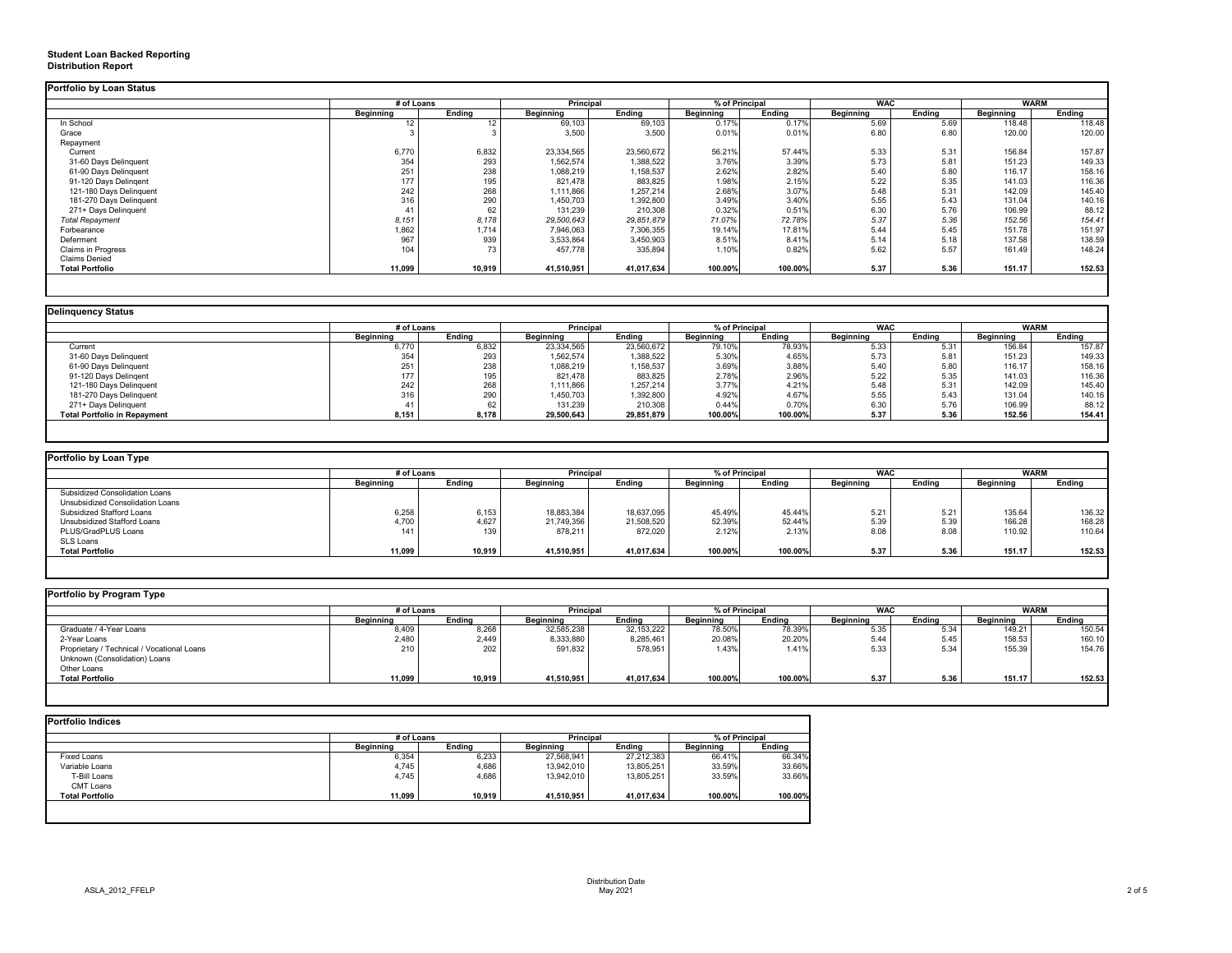## **Student Loan Backed Reporting Distribution Report**

|                           | # of Loans       |                   | <b>Principal</b> |               | % of Principal   |               | <b>WAC</b>       |               | <b>WARM</b>      |        |
|---------------------------|------------------|-------------------|------------------|---------------|------------------|---------------|------------------|---------------|------------------|--------|
|                           | <b>Beginning</b> | <b>Ending</b>     | <b>Beginning</b> | <b>Ending</b> | <b>Beginning</b> | <b>Ending</b> | <b>Beginning</b> | <b>Ending</b> | <b>Beginning</b> | Ending |
| In School                 | 10.              | $12 \overline{ }$ | 69,103           | 69,103        | 0.17%            | 0.17%         | 5.69             | 5.69          | 118.48           | 118.48 |
| Grace                     |                  |                   | 3,500            | 3,500         | 0.01%            | 0.01%         | 6.80             | 6.80          | 120.00           | 120.00 |
| Repayment                 |                  |                   |                  |               |                  |               |                  |               |                  |        |
| Current                   | 6,770            | 6,832             | 23,334,565       | 23,560,672    | 56.21%           | 57.44%        | 5.33             | 5.31          | 156.84           | 157.87 |
| 31-60 Days Delinquent     | 354              | 293               | 1,562,574        | 1,388,522     | 3.76%            | 3.39%         | 5.73             | 5.81          | 151.23           | 149.33 |
| 61-90 Days Delinquent     | 251              | 238               | 1,088,219        | 1,158,537     | 2.62%            | 2.82%         | 5.40             | 5.80          | 116.17           | 158.16 |
| 91-120 Days Delingent     | 177              | 195               | 821,478          | 883,825       | 1.98%            | 2.15%         | 5.22             | 5.35          | 141.03           | 116.36 |
| 121-180 Days Delinquent   | 242              | 268               | 1,111,866        | 1,257,214     | 2.68%            | 3.07%         | 5.48             | 5.31          | 142.09           | 145.40 |
| 181-270 Days Delinquent   | 316              | 290               | 1,450,703        | ,392,800      | 3.49%            | 3.40%         | 5.55             | 5.43          | 131.04           | 140.16 |
| 271+ Days Delinquent      |                  | 62                | 131,239          | 210,308       | 0.32%            | 0.51%         | 6.30             | 5.76          | 106.99           | 88.12  |
| <b>Total Repayment</b>    | 8,151            | 8,178             | 29,500,643       | 29,851,879    | 71.07%           | 72.78%        | 5.37             | 5.36          | 152.56           | 154.41 |
| Forbearance               | 1,862            | 1,714             | 7,946,063        | 7,306,355     | 19.14%           | 17.81%        | 5.44             | 5.45          | 151.78           | 151.97 |
| Deferment                 | 967              | 939               | 3,533,864        | 3,450,903     | 8.51%            | 8.41%         | 5.14             | 5.18          | 137.58           | 138.59 |
| <b>Claims in Progress</b> | 104              | 73                | 457,778          | 335,894       | 1.10%            | 0.82%         | 5.62             | 5.57          | 161.49           | 148.24 |
| <b>Claims Denied</b>      |                  |                   |                  |               |                  |               |                  |               |                  |        |
| <b>Total Portfolio</b>    | 11,099           | 10,919            | 41,510,951       | 41,017,634    | 100.00%          | 100.00%       | 5.37             | 5.36          | 151.17           | 152.53 |

| <b>Delinquency Status</b>           |                  |               |                  |               |                  |               |                  |               |                  |               |
|-------------------------------------|------------------|---------------|------------------|---------------|------------------|---------------|------------------|---------------|------------------|---------------|
|                                     | # of Loans       |               | <b>Principal</b> |               | % of Principal   |               | <b>WAC</b>       |               | <b>WARM</b>      |               |
|                                     | <b>Beginning</b> | <b>Ending</b> | <b>Beginning</b> | <b>Ending</b> | <b>Beginning</b> | <b>Ending</b> | <b>Beginning</b> | <b>Ending</b> | <b>Beginning</b> | <b>Ending</b> |
| Current                             | 6,770            | 6,832         | 23,334,565       | 23,560,672    | 79.10%           | 78.93%        | 5.33             | 5.31          | 156.84           | 157.87        |
| 31-60 Days Delinquent               | 354              | 293           | 1,562,574        | 1,388,522     | 5.30%            | 4.65%         | 5.73             | 5.81          | 151.23           | 149.33        |
| 61-90 Days Delinquent               | 251              | 238           | 1,088,219        | ,158,537      | 3.69%            | 3.88%         | 5.40             | 5.80          | 116.17           | 158.16        |
| 91-120 Days Delingent               | 177              | 195           | 821,478          | 883,825       | 2.78%            | 2.96%         | 5.22             | 5.35          | 141.03           | 116.36        |
| 121-180 Days Delinquent             | 242              | 268           | 1,111,866        | 1,257,214     | 3.77%            | 4.21%         | 5.48             | 5.31          | 142.09           | 145.40        |
| 181-270 Days Delinquent             | 316              | 290           | 1,450,703        | 1,392,800     | 4.92%            | 4.67%         | 5.55             | 5.43          | 131.04           | 140.16        |
| 271+ Days Delinquent                |                  | 62            | 131,239          | 210,308       | 0.44%            | 0.70%         | 6.30             | 5.76          | 106.99           | 88.12         |
| <b>Total Portfolio in Repayment</b> | 8,151            | 8,178         | 29,500,643       | 29,851,879    | 100.00%          | 100.00%       | 5.37             | 5.36          | 152.56           | 154.41        |
|                                     |                  |               |                  |               |                  |               |                  |               |                  |               |

| <b>Portfolio by Loan Type</b>         |                  |               |                  |                                    |                  |               |                  |               |                  |               |
|---------------------------------------|------------------|---------------|------------------|------------------------------------|------------------|---------------|------------------|---------------|------------------|---------------|
|                                       | # of Loans       |               |                  | % of Principal<br><b>Principal</b> |                  | <b>WAC</b>    |                  |               | <b>WARM</b>      |               |
|                                       | <b>Beginning</b> | <b>Ending</b> | <b>Beginning</b> | <b>Ending</b>                      | <b>Beginning</b> | <b>Ending</b> | <b>Beginning</b> | <b>Ending</b> | <b>Beginning</b> | <b>Ending</b> |
| <b>Subsidized Consolidation Loans</b> |                  |               |                  |                                    |                  |               |                  |               |                  |               |
| Unsubsidized Consolidation Loans      |                  |               |                  |                                    |                  |               |                  |               |                  |               |
| <b>Subsidized Stafford Loans</b>      | 6,258            | 6,153         | 18,883,384       | 18,637,095                         | 45.49%           | 45.44%        | 5.21             | 5.21          | 135.64           | 136.32        |
| Unsubsidized Stafford Loans           | 4,700            | 4,627         | 21,749,356       | 21,508,520                         | 52.39%           | 52.44%        | 5.39             | 5.39          | 166.28           | 168.28        |
| PLUS/GradPLUS Loans                   | 141              | 139           | 878,211          | 872,020                            | 2.12%            | 2.13%         | 8.08             | 8.08          | 110.92           | 110.64        |
| SLS Loans                             |                  |               |                  |                                    |                  |               |                  |               |                  |               |
| <b>Total Portfolio</b>                | 11,099           | 10,919        | 41,510,951       | 41,017,634                         | 100.00%          | 100.00%       | 5.37             | 5.36          | 151.17           | 152.53        |
|                                       |                  |               |                  |                                    |                  |               |                  |               |                  |               |

|                                            |                  | # of Loans    |                  | <b>Principal</b> |                  | % of Principal |                  | <b>WAC</b>    |                  | <b>WARM</b>   |  |
|--------------------------------------------|------------------|---------------|------------------|------------------|------------------|----------------|------------------|---------------|------------------|---------------|--|
|                                            | <b>Beginning</b> | <b>Ending</b> | <b>Beginning</b> | <b>Ending</b>    | <b>Beginning</b> | <b>Ending</b>  | <b>Beginning</b> | <b>Ending</b> | <b>Beginning</b> | <b>Ending</b> |  |
| Graduate / 4-Year Loans                    | 8,409            | 8,268         | 32,585,238       | 32, 153, 222     | 78.50%           | 78.39%         | 5.35             | 5.34          | 149.21           | 150.54        |  |
| 2-Year Loans                               | 2,480            | 2,449         | 8,333,880        | 8,285,461        | 20.08%           | 20.20%         | 5.44             | 5.45          | 158.53           | 160.10        |  |
| Proprietary / Technical / Vocational Loans | 210              | 202           | 591,832          | 578,951          | 1.43%            | 1.41%          | 5.33             | 5.34          | 155.39           | 154.76        |  |
| Unknown (Consolidation) Loans              |                  |               |                  |                  |                  |                |                  |               |                  |               |  |
| Other Loans                                |                  |               |                  |                  |                  |                |                  |               |                  |               |  |
| <b>Total Portfolio</b>                     | 11,099           | 10,919        | 41,510,951       | 41,017,634       | 100.00%          | 100.00%        | 5.37             | 5.36          | 151.17           | 152.53        |  |

|                        | # of Loans       |               | <b>Principal</b> |               |                  | % of Principal |  |
|------------------------|------------------|---------------|------------------|---------------|------------------|----------------|--|
|                        | <b>Beginning</b> | <b>Ending</b> | <b>Beginning</b> | <b>Ending</b> | <b>Beginning</b> | <b>Ending</b>  |  |
| <b>Fixed Loans</b>     | 6,354            | 6,233         | 27,568,941       | 27,212,383    | 66.41%           | 66.34%         |  |
| Variable Loans         | 4,745            | 4,686         | 13,942,010       | 13,805,251    | 33.59%           | 33.66%         |  |
| T-Bill Loans           | 4,745            | 4,686         | 13,942,010       | 13,805,251    | 33.59%           | 33.66%         |  |
| <b>CMT Loans</b>       |                  |               |                  |               |                  |                |  |
| <b>Total Portfolio</b> | 11,099           | 10,919        | 41,510,951       | 41,017,634    | 100.00%          | 100.00%        |  |
|                        |                  |               |                  |               |                  |                |  |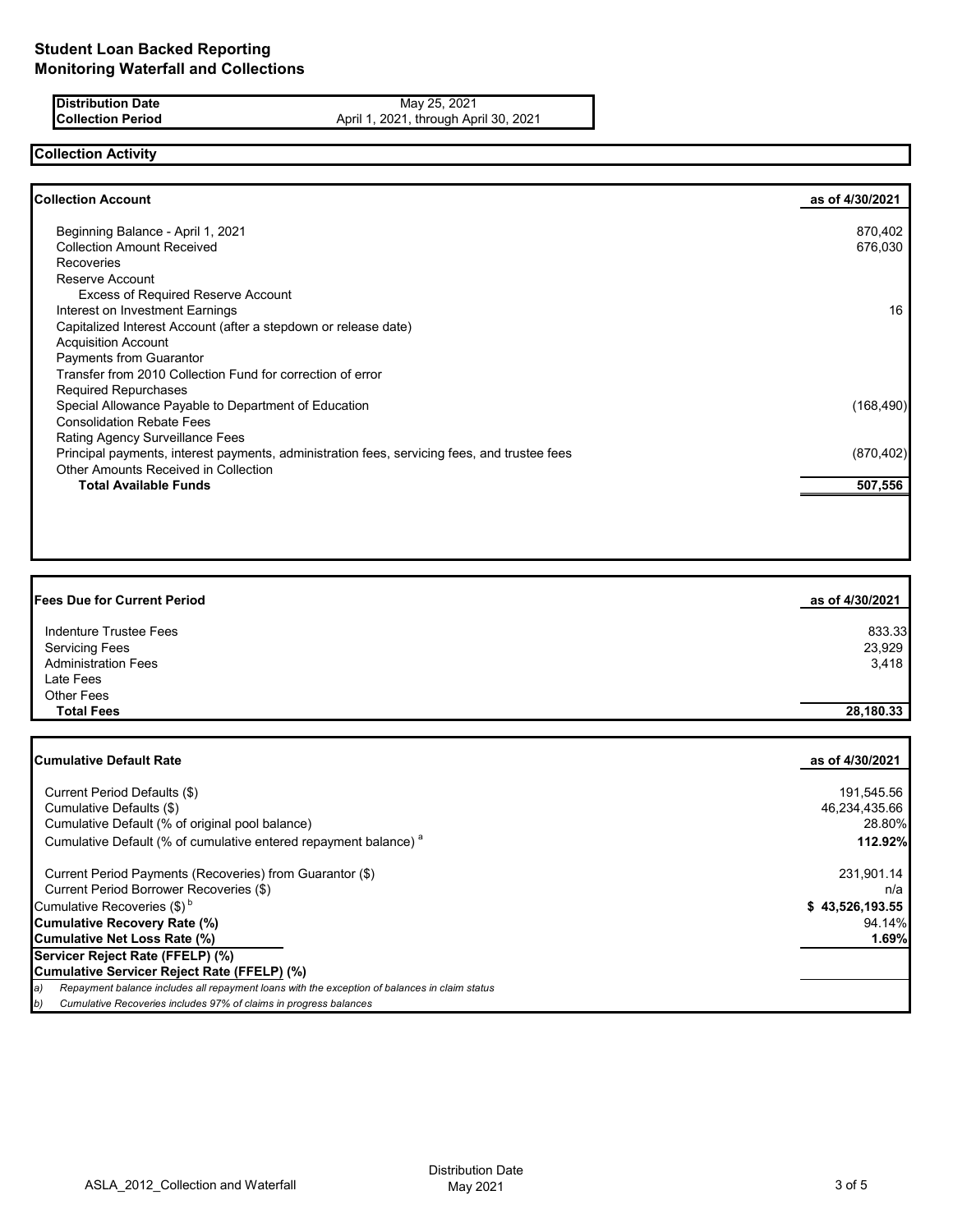**Distribution Date** May 25, 2021<br>**Collection Period** April 1, 2021, through Apr April 1, 2021, through April 30, 2021

# **Collection Activity**

| <b>Collection Account</b>                                                                    | as of 4/30/2021 |
|----------------------------------------------------------------------------------------------|-----------------|
| Beginning Balance - April 1, 2021                                                            | 870,402         |
| <b>Collection Amount Received</b>                                                            | 676,030         |
| <b>Recoveries</b>                                                                            |                 |
| Reserve Account                                                                              |                 |
| <b>Excess of Required Reserve Account</b>                                                    |                 |
| Interest on Investment Earnings                                                              | 16              |
| Capitalized Interest Account (after a stepdown or release date)                              |                 |
| <b>Acquisition Account</b>                                                                   |                 |
| <b>Payments from Guarantor</b>                                                               |                 |
| Transfer from 2010 Collection Fund for correction of error                                   |                 |
| <b>Required Repurchases</b>                                                                  |                 |
| Special Allowance Payable to Department of Education                                         | (168, 490)      |
| <b>Consolidation Rebate Fees</b>                                                             |                 |
| Rating Agency Surveillance Fees                                                              |                 |
| Principal payments, interest payments, administration fees, servicing fees, and trustee fees | (870, 402)      |
| <b>Other Amounts Received in Collection</b>                                                  |                 |
| <b>Total Available Funds</b>                                                                 | 507,556         |
|                                                                                              |                 |
|                                                                                              |                 |

| <b>Fees Due for Current Period</b> | as of 4/30/2021 |
|------------------------------------|-----------------|
| Indenture Trustee Fees             | 833.33          |
| <b>Servicing Fees</b>              | 23,929          |
| <b>Administration Fees</b>         | 3,418           |
| Late Fees                          |                 |
| <b>Other Fees</b>                  |                 |
| <b>Total Fees</b>                  | 28,180.33       |

| <b>Cumulative Default Rate</b>                                                                      | as of 4/30/2021 |
|-----------------------------------------------------------------------------------------------------|-----------------|
|                                                                                                     |                 |
| Current Period Defaults (\$)                                                                        | 191,545.56      |
| Cumulative Defaults (\$)                                                                            | 46,234,435.66   |
| Cumulative Default (% of original pool balance)                                                     | 28.80%          |
| Cumulative Default (% of cumulative entered repayment balance) <sup>a</sup>                         | 112.92%         |
| Current Period Payments (Recoveries) from Guarantor (\$)                                            | 231,901.14      |
| Current Period Borrower Recoveries (\$)                                                             | n/a             |
| Cumulative Recoveries $(\$)^b$                                                                      | \$43,526,193.55 |
| Cumulative Recovery Rate (%)                                                                        | 94.14%          |
| Cumulative Net Loss Rate (%)                                                                        | 1.69%           |
| Servicer Reject Rate (FFELP) (%)                                                                    |                 |
| Cumulative Servicer Reject Rate (FFELP) (%)                                                         |                 |
| Repayment balance includes all repayment loans with the exception of balances in claim status<br>a) |                 |
| Cumulative Recoveries includes 97% of claims in progress balances<br>b)                             |                 |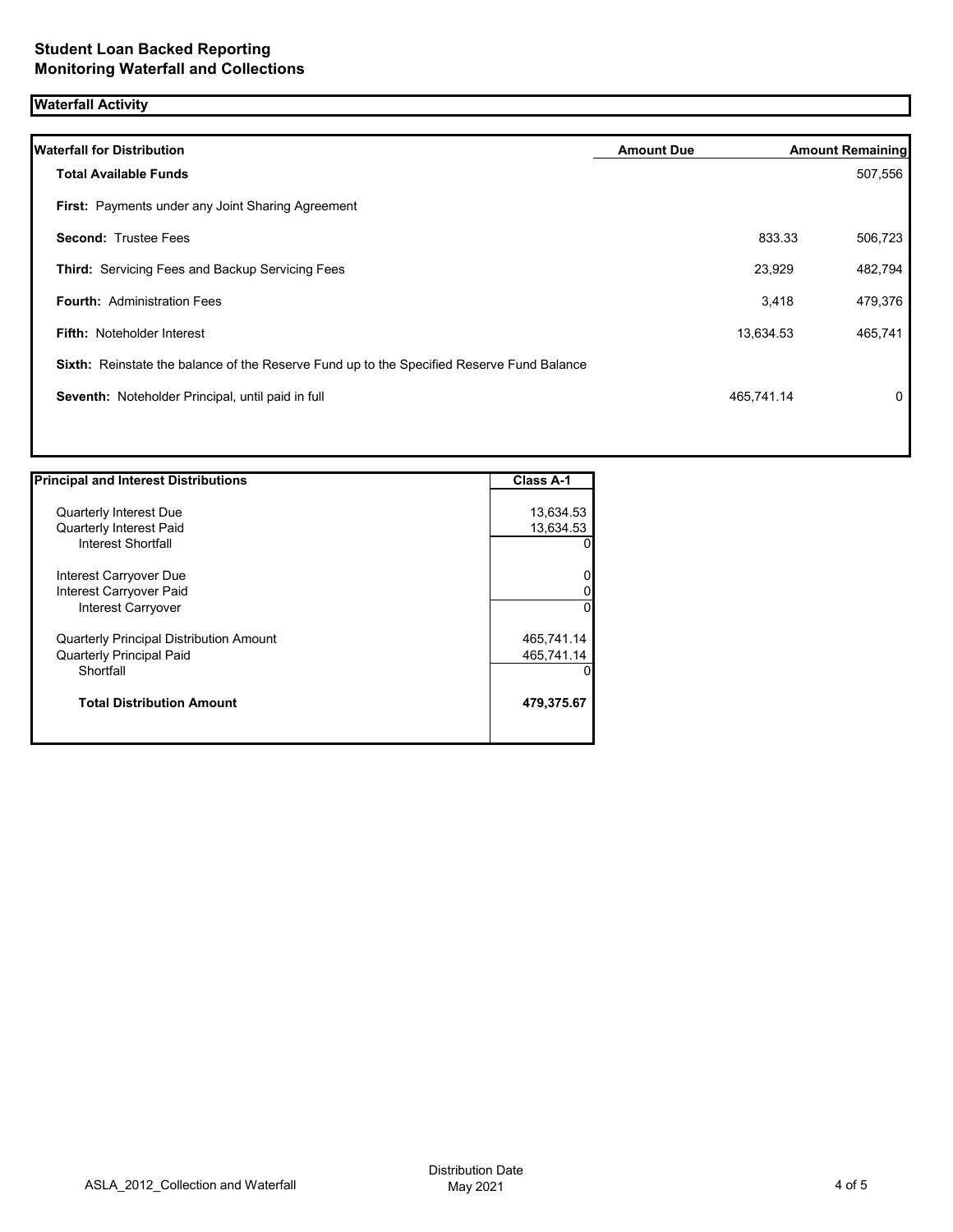# **Waterfall Activity**

| <b>Waterfall for Distribution</b>                                                         | <b>Amount Due</b> |            | <b>Amount Remaining</b> |
|-------------------------------------------------------------------------------------------|-------------------|------------|-------------------------|
| <b>Total Available Funds</b>                                                              |                   |            | 507,556                 |
| First: Payments under any Joint Sharing Agreement                                         |                   |            |                         |
| <b>Second: Trustee Fees</b>                                                               |                   | 833.33     | 506,723                 |
| <b>Third: Servicing Fees and Backup Servicing Fees</b>                                    |                   | 23,929     | 482,794                 |
| <b>Fourth: Administration Fees</b>                                                        |                   | 3,418      | 479,376                 |
| <b>Fifth: Noteholder Interest</b>                                                         |                   | 13,634.53  | 465,741                 |
| Sixth: Reinstate the balance of the Reserve Fund up to the Specified Reserve Fund Balance |                   |            |                         |
| Seventh: Noteholder Principal, until paid in full                                         |                   | 465,741.14 | 0                       |

| <b>Principal and Interest Distributions</b>    | <b>Class A-1</b> |
|------------------------------------------------|------------------|
|                                                |                  |
| <b>Quarterly Interest Due</b>                  | 13,634.53        |
| <b>Quarterly Interest Paid</b>                 | 13,634.53        |
| <b>Interest Shortfall</b>                      |                  |
| Interest Carryover Due                         | 0                |
| Interest Carryover Paid                        | 0                |
| Interest Carryover                             | $\Omega$         |
| <b>Quarterly Principal Distribution Amount</b> | 465,741.14       |
| <b>Quarterly Principal Paid</b>                | 465,741.14       |
| Shortfall                                      | O                |
| <b>Total Distribution Amount</b>               | 479,375.67       |
|                                                |                  |